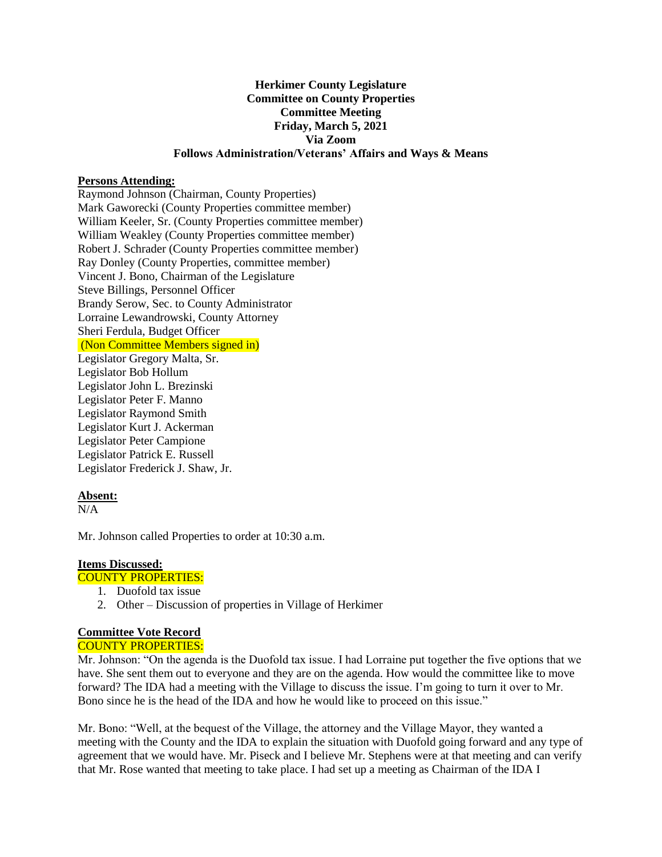# **Herkimer County Legislature Committee on County Properties Committee Meeting Friday, March 5, 2021 Via Zoom Follows Administration/Veterans' Affairs and Ways & Means**

### **Persons Attending:**

Raymond Johnson (Chairman, County Properties) Mark Gaworecki (County Properties committee member) William Keeler, Sr. (County Properties committee member) William Weakley (County Properties committee member) Robert J. Schrader (County Properties committee member) Ray Donley (County Properties, committee member) Vincent J. Bono, Chairman of the Legislature Steve Billings, Personnel Officer Brandy Serow, Sec. to County Administrator Lorraine Lewandrowski, County Attorney Sheri Ferdula, Budget Officer (Non Committee Members signed in) Legislator Gregory Malta, Sr. Legislator Bob Hollum Legislator John L. Brezinski Legislator Peter F. Manno Legislator Raymond Smith Legislator Kurt J. Ackerman Legislator Peter Campione Legislator Patrick E. Russell Legislator Frederick J. Shaw, Jr.

# **Absent:**

 $N/A$ 

Mr. Johnson called Properties to order at 10:30 a.m.

#### **Items Discussed:**

### COUNTY PROPERTIES:

- 1. Duofold tax issue
- 2. Other Discussion of properties in Village of Herkimer

# **Committee Vote Record**

COUNTY PROPERTIES:

Mr. Johnson: "On the agenda is the Duofold tax issue. I had Lorraine put together the five options that we have. She sent them out to everyone and they are on the agenda. How would the committee like to move forward? The IDA had a meeting with the Village to discuss the issue. I'm going to turn it over to Mr. Bono since he is the head of the IDA and how he would like to proceed on this issue."

Mr. Bono: "Well, at the bequest of the Village, the attorney and the Village Mayor, they wanted a meeting with the County and the IDA to explain the situation with Duofold going forward and any type of agreement that we would have. Mr. Piseck and I believe Mr. Stephens were at that meeting and can verify that Mr. Rose wanted that meeting to take place. I had set up a meeting as Chairman of the IDA I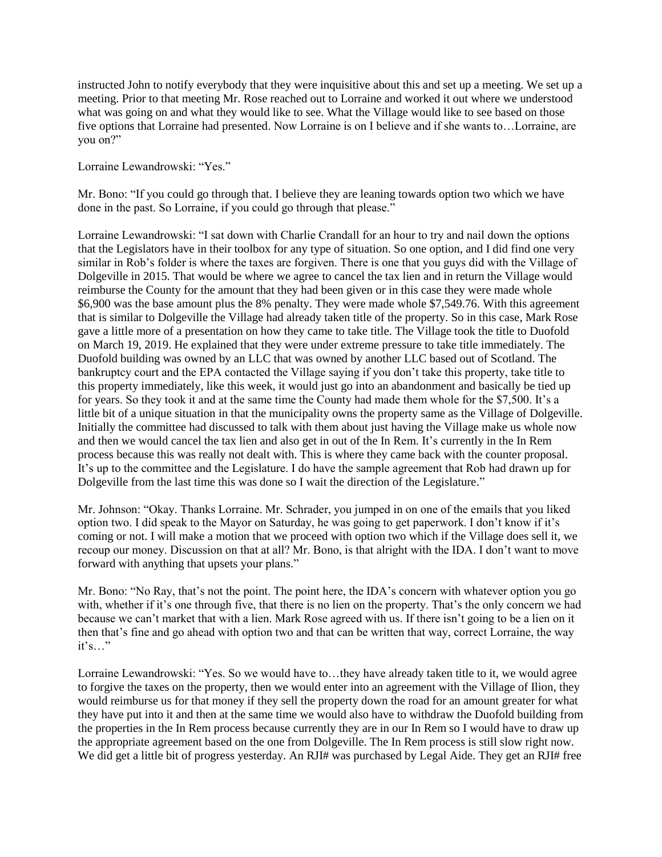instructed John to notify everybody that they were inquisitive about this and set up a meeting. We set up a meeting. Prior to that meeting Mr. Rose reached out to Lorraine and worked it out where we understood what was going on and what they would like to see. What the Village would like to see based on those five options that Lorraine had presented. Now Lorraine is on I believe and if she wants to…Lorraine, are you on?"

Lorraine Lewandrowski: "Yes."

Mr. Bono: "If you could go through that. I believe they are leaning towards option two which we have done in the past. So Lorraine, if you could go through that please."

Lorraine Lewandrowski: "I sat down with Charlie Crandall for an hour to try and nail down the options that the Legislators have in their toolbox for any type of situation. So one option, and I did find one very similar in Rob's folder is where the taxes are forgiven. There is one that you guys did with the Village of Dolgeville in 2015. That would be where we agree to cancel the tax lien and in return the Village would reimburse the County for the amount that they had been given or in this case they were made whole \$6,900 was the base amount plus the 8% penalty. They were made whole \$7,549.76. With this agreement that is similar to Dolgeville the Village had already taken title of the property. So in this case, Mark Rose gave a little more of a presentation on how they came to take title. The Village took the title to Duofold on March 19, 2019. He explained that they were under extreme pressure to take title immediately. The Duofold building was owned by an LLC that was owned by another LLC based out of Scotland. The bankruptcy court and the EPA contacted the Village saying if you don't take this property, take title to this property immediately, like this week, it would just go into an abandonment and basically be tied up for years. So they took it and at the same time the County had made them whole for the \$7,500. It's a little bit of a unique situation in that the municipality owns the property same as the Village of Dolgeville. Initially the committee had discussed to talk with them about just having the Village make us whole now and then we would cancel the tax lien and also get in out of the In Rem. It's currently in the In Rem process because this was really not dealt with. This is where they came back with the counter proposal. It's up to the committee and the Legislature. I do have the sample agreement that Rob had drawn up for Dolgeville from the last time this was done so I wait the direction of the Legislature."

Mr. Johnson: "Okay. Thanks Lorraine. Mr. Schrader, you jumped in on one of the emails that you liked option two. I did speak to the Mayor on Saturday, he was going to get paperwork. I don't know if it's coming or not. I will make a motion that we proceed with option two which if the Village does sell it, we recoup our money. Discussion on that at all? Mr. Bono, is that alright with the IDA. I don't want to move forward with anything that upsets your plans."

Mr. Bono: "No Ray, that's not the point. The point here, the IDA's concern with whatever option you go with, whether if it's one through five, that there is no lien on the property. That's the only concern we had because we can't market that with a lien. Mark Rose agreed with us. If there isn't going to be a lien on it then that's fine and go ahead with option two and that can be written that way, correct Lorraine, the way  $it's...$ "

Lorraine Lewandrowski: "Yes. So we would have to…they have already taken title to it, we would agree to forgive the taxes on the property, then we would enter into an agreement with the Village of Ilion, they would reimburse us for that money if they sell the property down the road for an amount greater for what they have put into it and then at the same time we would also have to withdraw the Duofold building from the properties in the In Rem process because currently they are in our In Rem so I would have to draw up the appropriate agreement based on the one from Dolgeville. The In Rem process is still slow right now. We did get a little bit of progress yesterday. An RJI# was purchased by Legal Aide. They get an RJI# free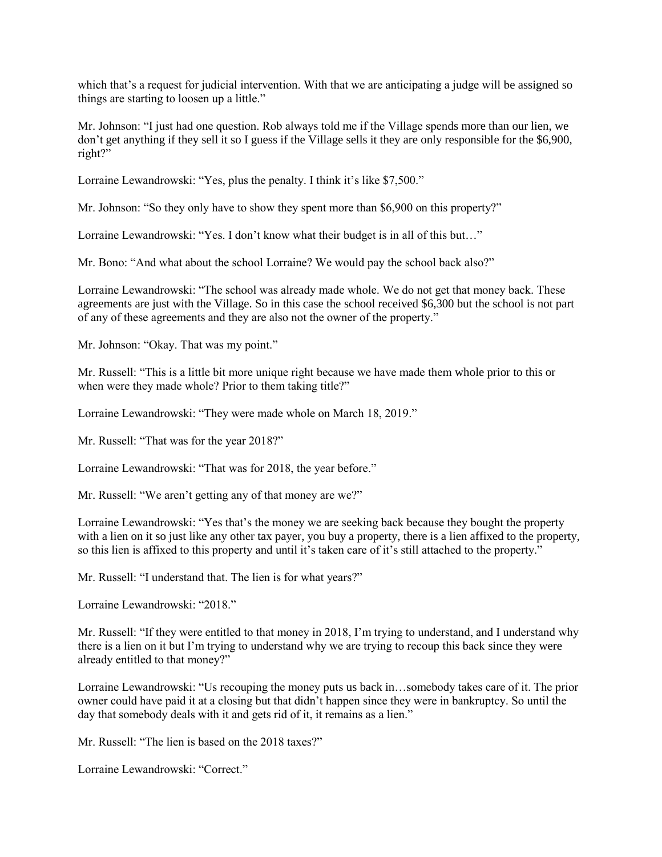which that's a request for judicial intervention. With that we are anticipating a judge will be assigned so things are starting to loosen up a little."

Mr. Johnson: "I just had one question. Rob always told me if the Village spends more than our lien, we don't get anything if they sell it so I guess if the Village sells it they are only responsible for the \$6,900, right?"

Lorraine Lewandrowski: "Yes, plus the penalty. I think it's like \$7,500."

Mr. Johnson: "So they only have to show they spent more than \$6,900 on this property?"

Lorraine Lewandrowski: "Yes. I don't know what their budget is in all of this but…"

Mr. Bono: "And what about the school Lorraine? We would pay the school back also?"

Lorraine Lewandrowski: "The school was already made whole. We do not get that money back. These agreements are just with the Village. So in this case the school received \$6,300 but the school is not part of any of these agreements and they are also not the owner of the property."

Mr. Johnson: "Okay. That was my point."

Mr. Russell: "This is a little bit more unique right because we have made them whole prior to this or when were they made whole? Prior to them taking title?"

Lorraine Lewandrowski: "They were made whole on March 18, 2019."

Mr. Russell: "That was for the year 2018?"

Lorraine Lewandrowski: "That was for 2018, the year before."

Mr. Russell: "We aren't getting any of that money are we?"

Lorraine Lewandrowski: "Yes that's the money we are seeking back because they bought the property with a lien on it so just like any other tax payer, you buy a property, there is a lien affixed to the property, so this lien is affixed to this property and until it's taken care of it's still attached to the property."

Mr. Russell: "I understand that. The lien is for what years?"

Lorraine Lewandrowski: "2018."

Mr. Russell: "If they were entitled to that money in 2018, I'm trying to understand, and I understand why there is a lien on it but I'm trying to understand why we are trying to recoup this back since they were already entitled to that money?"

Lorraine Lewandrowski: "Us recouping the money puts us back in…somebody takes care of it. The prior owner could have paid it at a closing but that didn't happen since they were in bankruptcy. So until the day that somebody deals with it and gets rid of it, it remains as a lien."

Mr. Russell: "The lien is based on the 2018 taxes?"

Lorraine Lewandrowski: "Correct."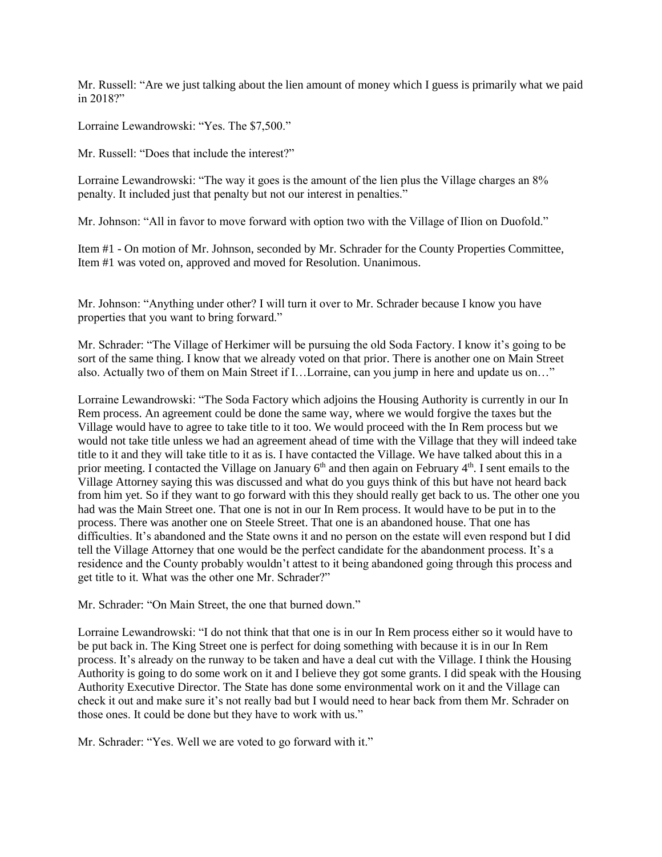Mr. Russell: "Are we just talking about the lien amount of money which I guess is primarily what we paid in 2018?"

Lorraine Lewandrowski: "Yes. The \$7,500."

Mr. Russell: "Does that include the interest?"

Lorraine Lewandrowski: "The way it goes is the amount of the lien plus the Village charges an 8% penalty. It included just that penalty but not our interest in penalties."

Mr. Johnson: "All in favor to move forward with option two with the Village of Ilion on Duofold."

Item #1 - On motion of Mr. Johnson, seconded by Mr. Schrader for the County Properties Committee, Item #1 was voted on, approved and moved for Resolution. Unanimous.

Mr. Johnson: "Anything under other? I will turn it over to Mr. Schrader because I know you have properties that you want to bring forward."

Mr. Schrader: "The Village of Herkimer will be pursuing the old Soda Factory. I know it's going to be sort of the same thing. I know that we already voted on that prior. There is another one on Main Street also. Actually two of them on Main Street if I…Lorraine, can you jump in here and update us on…"

Lorraine Lewandrowski: "The Soda Factory which adjoins the Housing Authority is currently in our In Rem process. An agreement could be done the same way, where we would forgive the taxes but the Village would have to agree to take title to it too. We would proceed with the In Rem process but we would not take title unless we had an agreement ahead of time with the Village that they will indeed take title to it and they will take title to it as is. I have contacted the Village. We have talked about this in a prior meeting. I contacted the Village on January 6<sup>th</sup> and then again on February 4<sup>th</sup>. I sent emails to the Village Attorney saying this was discussed and what do you guys think of this but have not heard back from him yet. So if they want to go forward with this they should really get back to us. The other one you had was the Main Street one. That one is not in our In Rem process. It would have to be put in to the process. There was another one on Steele Street. That one is an abandoned house. That one has difficulties. It's abandoned and the State owns it and no person on the estate will even respond but I did tell the Village Attorney that one would be the perfect candidate for the abandonment process. It's a residence and the County probably wouldn't attest to it being abandoned going through this process and get title to it. What was the other one Mr. Schrader?"

Mr. Schrader: "On Main Street, the one that burned down."

Lorraine Lewandrowski: "I do not think that that one is in our In Rem process either so it would have to be put back in. The King Street one is perfect for doing something with because it is in our In Rem process. It's already on the runway to be taken and have a deal cut with the Village. I think the Housing Authority is going to do some work on it and I believe they got some grants. I did speak with the Housing Authority Executive Director. The State has done some environmental work on it and the Village can check it out and make sure it's not really bad but I would need to hear back from them Mr. Schrader on those ones. It could be done but they have to work with us."

Mr. Schrader: "Yes. Well we are voted to go forward with it."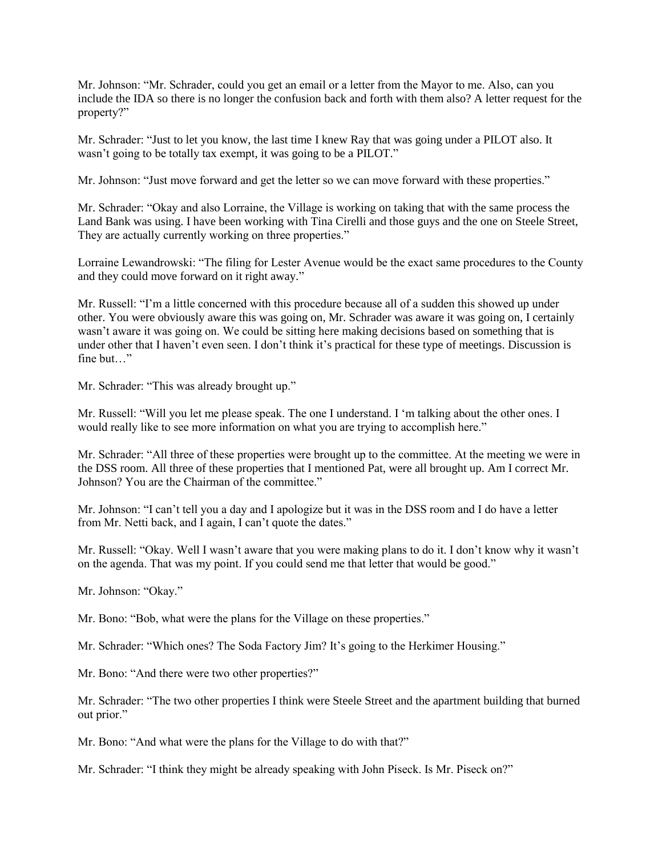Mr. Johnson: "Mr. Schrader, could you get an email or a letter from the Mayor to me. Also, can you include the IDA so there is no longer the confusion back and forth with them also? A letter request for the property?"

Mr. Schrader: "Just to let you know, the last time I knew Ray that was going under a PILOT also. It wasn't going to be totally tax exempt, it was going to be a PILOT."

Mr. Johnson: "Just move forward and get the letter so we can move forward with these properties."

Mr. Schrader: "Okay and also Lorraine, the Village is working on taking that with the same process the Land Bank was using. I have been working with Tina Cirelli and those guys and the one on Steele Street, They are actually currently working on three properties."

Lorraine Lewandrowski: "The filing for Lester Avenue would be the exact same procedures to the County and they could move forward on it right away."

Mr. Russell: "I'm a little concerned with this procedure because all of a sudden this showed up under other. You were obviously aware this was going on, Mr. Schrader was aware it was going on, I certainly wasn't aware it was going on. We could be sitting here making decisions based on something that is under other that I haven't even seen. I don't think it's practical for these type of meetings. Discussion is fine but…"

Mr. Schrader: "This was already brought up."

Mr. Russell: "Will you let me please speak. The one I understand. I 'm talking about the other ones. I would really like to see more information on what you are trying to accomplish here."

Mr. Schrader: "All three of these properties were brought up to the committee. At the meeting we were in the DSS room. All three of these properties that I mentioned Pat, were all brought up. Am I correct Mr. Johnson? You are the Chairman of the committee."

Mr. Johnson: "I can't tell you a day and I apologize but it was in the DSS room and I do have a letter from Mr. Netti back, and I again, I can't quote the dates."

Mr. Russell: "Okay. Well I wasn't aware that you were making plans to do it. I don't know why it wasn't on the agenda. That was my point. If you could send me that letter that would be good."

Mr. Johnson: "Okay."

Mr. Bono: "Bob, what were the plans for the Village on these properties."

Mr. Schrader: "Which ones? The Soda Factory Jim? It's going to the Herkimer Housing."

Mr. Bono: "And there were two other properties?"

Mr. Schrader: "The two other properties I think were Steele Street and the apartment building that burned out prior."

Mr. Bono: "And what were the plans for the Village to do with that?"

Mr. Schrader: "I think they might be already speaking with John Piseck. Is Mr. Piseck on?"